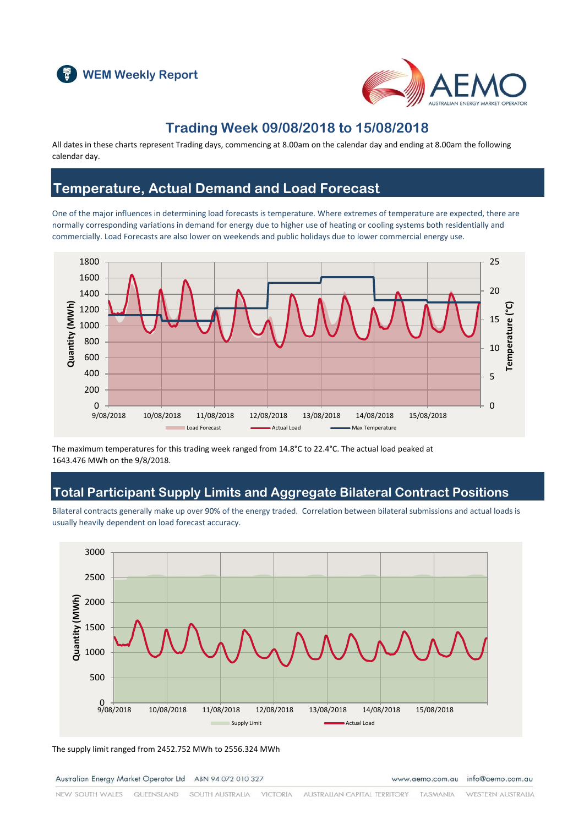



### **Trading Week 09/08/2018 to 15/08/2018**

All dates in these charts represent Trading days, commencing at 8.00am on the calendar day and ending at 8.00am the following calendar day.

### **Temperature, Actual Demand and Load Forecast**

One of the major influences in determining load forecasts is temperature. Where extremes of temperature are expected, there are normally corresponding variations in demand for energy due to higher use of heating or cooling systems both residentially and commercially. Load Forecasts are also lower on weekends and public holidays due to lower commercial energy use.



The maximum temperatures for this trading week ranged from 14.8°C to 22.4°C. The actual load peaked at 1643.476 MWh on the 9/8/2018.

### **Total Participant Supply Limits and Aggregate Bilateral Contract Positions**

Bilateral contracts generally make up over 90% of the energy traded. Correlation between bilateral submissions and actual loads is usually heavily dependent on load forecast accuracy.



The supply limit ranged from 2452.752 MWh to 2556.324 MWh

Australian Energy Market Operator Ltd ABN 94 072 010 327

www.aemo.com.au info@aemo.com.au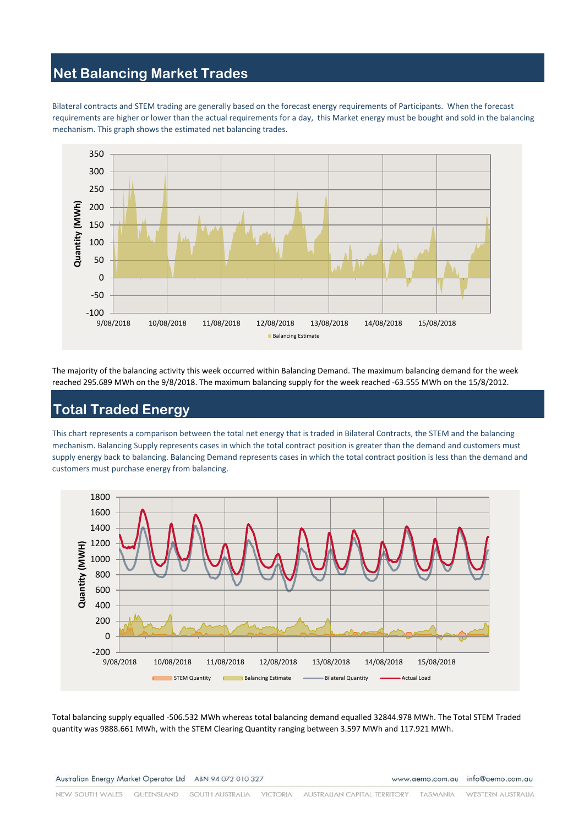### **Net Balancing Market Trades**

Bilateral contracts and STEM trading are generally based on the forecast energy requirements of Participants. When the forecast requirements are higher or lower than the actual requirements for a day, this Market energy must be bought and sold in the balancing mechanism. This graph shows the estimated net balancing trades.



The majority of the balancing activity this week occurred within Balancing Demand. The maximum balancing demand for the week reached 295.689 MWh on the 9/8/2018. The maximum balancing supply for the week reached -63.555 MWh on the 15/8/2012.

# **Total Traded Energy**

This chart represents a comparison between the total net energy that is traded in Bilateral Contracts, the STEM and the balancing mechanism. Balancing Supply represents cases in which the total contract position is greater than the demand and customers must supply energy back to balancing. Balancing Demand represents cases in which the total contract position is less than the demand and customers must purchase energy from balancing.



Total balancing supply equalled -506.532 MWh whereas total balancing demand equalled 32844.978 MWh. The Total STEM Traded quantity was 9888.661 MWh, with the STEM Clearing Quantity ranging between 3.597 MWh and 117.921 MWh.

Australian Energy Market Operator Ltd ABN 94 072 010 327